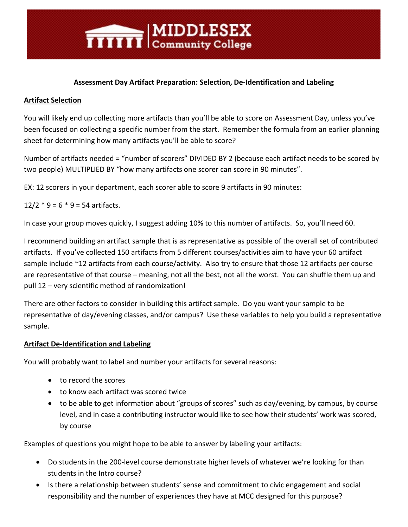## **Assessment Day Artifact Preparation: Selection, De-Identification and Labeling**

#### **Artifact Selection**

You will likely end up collecting more artifacts than you'll be able to score on Assessment Day, unless you've been focused on collecting a specific number from the start. Remember the formula from an earlier planning sheet for determining how many artifacts you'll be able to score?

Number of artifacts needed = "number of scorers" DIVIDED BY 2 (because each artifact needs to be scored by two people) MULTIPLIED BY "how many artifacts one scorer can score in 90 minutes".

EX: 12 scorers in your department, each scorer able to score 9 artifacts in 90 minutes:

**TITTITI** Community College

 $12/2 * 9 = 6 * 9 = 54$  artifacts.

In case your group moves quickly, I suggest adding 10% to this number of artifacts. So, you'll need 60.

I recommend building an artifact sample that is as representative as possible of the overall set of contributed artifacts. If you've collected 150 artifacts from 5 different courses/activities aim to have your 60 artifact sample include ~12 artifacts from each course/activity. Also try to ensure that those 12 artifacts per course are representative of that course – meaning, not all the best, not all the worst. You can shuffle them up and pull 12 – very scientific method of randomization!

There are other factors to consider in building this artifact sample. Do you want your sample to be representative of day/evening classes, and/or campus? Use these variables to help you build a representative sample.

#### **Artifact De-Identification and Labeling**

You will probably want to label and number your artifacts for several reasons:

- to record the scores
- to know each artifact was scored twice
- to be able to get information about "groups of scores" such as day/evening, by campus, by course level, and in case a contributing instructor would like to see how their students' work was scored, by course

Examples of questions you might hope to be able to answer by labeling your artifacts:

- Do students in the 200-level course demonstrate higher levels of whatever we're looking for than students in the Intro course?
- Is there a relationship between students' sense and commitment to civic engagement and social responsibility and the number of experiences they have at MCC designed for this purpose?